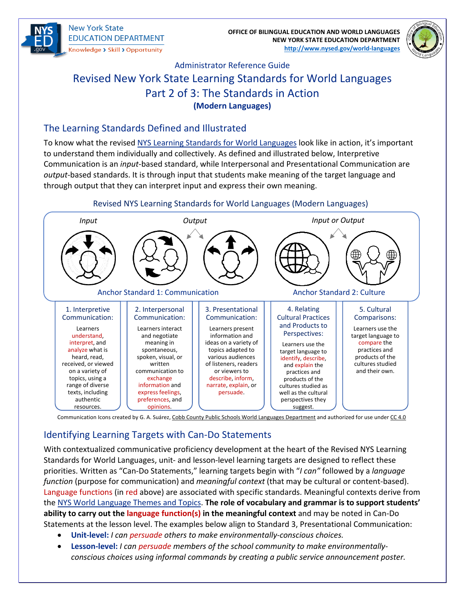

**New York State EDUCATION DEPARTMENT** Knowledge > Skill > Opportunity

**OFFICE OF BILINGUAL EDUCATION AND WORLD LANGUAGES NEW YORK STATE EDUCATION DEPARTMENT [http://www.nysed.gov/world-languages](http://www.nysed.gov/world-languages/)**



# Administrator Reference Guide Revised New York State Learning Standards for World Languages Part 2 of 3: The Standards in Action **(Modern Languages)**

### The Learning Standards Defined and Illustrated

To know what the revised [NYS Learning Standards for World Languages](http://www.nysed.gov/common/nysed/files/programs/world-languages/nys-learning-standards-for-world-languages-2021.pdf) look like in action, it's important to understand them individually and collectively. As defined and illustrated below, Interpretive Communication is an *input*-based standard, while Interpersonal and Presentational Communication are *output*-based standards. It is through input that students make meaning of the target language and through output that they can interpret input and express their own meaning.



## Identifying Learning Targets with Can-Do Statements

With contextualized communicative proficiency development at the heart of the Revised NYS Learning Standards for World Languages, unit- and lesson-level learning targets are designed to reflect these priorities. Written as "Can-Do Statements," learning targets begin with "*I can"* followed by a *language function* (purpose for communication) and *meaningful context* (that may be cultural or content-based). Language functions (in red above) are associated with specific standards. Meaningful contexts derive from the [NYS World Language Themes and Topics.](http://www.nysed.gov/common/nysed/files/programs/world-languages/nys-wl-themes-and-topics-2021.pdf) **The role of vocabulary and grammar is to support students' ability to carry out the language function(s) in the meaningful context** and may be noted in Can-Do Statements at the lesson level. The examples below align to Standard 3, Presentational Communication:

- **Unit-level:** *I can persuade others to make environmentally-conscious choices.*
- **Lesson-level:** *I can persuade members of the school community to make environmentallyconscious choices using informal commands by creating a public service announcement poster.*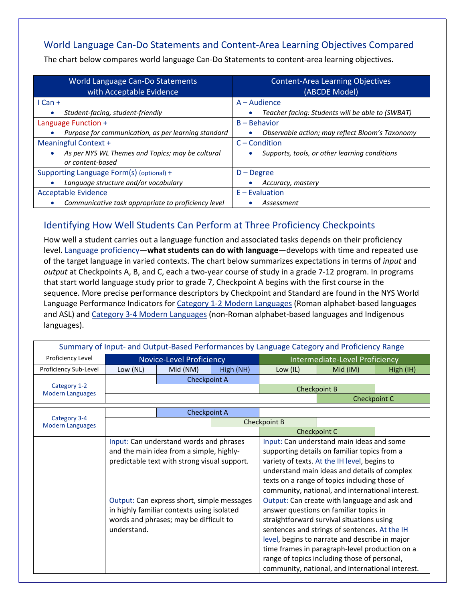# World Language Can-Do Statements and Content-Area Learning Objectives Compared

The chart below compares world language Can-Do Statements to content-area learning objectives.

| World Language Can-Do Statements                                                  | <b>Content-Area Learning Objectives</b>          |  |  |
|-----------------------------------------------------------------------------------|--------------------------------------------------|--|--|
| with Acceptable Evidence                                                          | (ABCDE Model)                                    |  |  |
| $l$ Can +                                                                         | $A - A$ udience                                  |  |  |
| Student-facing, student-friendly                                                  | Teacher facing: Students will be able to (SWBAT) |  |  |
| Language Function +                                                               | $B - Be$ havior                                  |  |  |
| Purpose for communication, as per learning standard                               | Observable action; may reflect Bloom's Taxonomy  |  |  |
| Meaningful Context +                                                              | $C$ – Condition                                  |  |  |
| As per NYS WL Themes and Topics; may be cultural<br>$\bullet$<br>or content-based | Supports, tools, or other learning conditions    |  |  |
| Supporting Language Form(s) (optional) +                                          | $D - Degree$                                     |  |  |
| Language structure and/or vocabulary                                              | Accuracy, mastery                                |  |  |
| <b>Acceptable Evidence</b>                                                        | $E -$ Evaluation                                 |  |  |
| Communicative task appropriate to proficiency level                               | Assessment                                       |  |  |

### Identifying How Well Students Can Perform at Three Proficiency Checkpoints

How well a student carries out a language function and associated tasks depends on their proficiency level. Language proficiency—**what students can do with language**—develops with time and repeated use of the target language in varied contexts. The chart below summarizes expectations in terms of *input* and *output* at Checkpoints A, B, and C, each a two-year course of study in a grade 7-12 program. In programs that start world language study prior to grade 7, Checkpoint A begins with the first course in the sequence. More precise performance descriptors by Checkpoint and Standard are found in the NYS World Language Performance Indicators for [Category 1-2 Modern Languages](http://www.nysed.gov/common/nysed/files/programs/world-languages/proficiency-ranges-and-performance-indicators-for-modern-languages-cat-1-2-11x17_0.pdf) (Roman alphabet-based languages and ASL) and [Category 3-4 Modern Languages](http://www.nysed.gov/common/nysed/files/programs/world-languages/proficiency-ranges-and-performance-indicators-for-modern-languages-cat-3-4-11x17_0.pdf) (non-Roman alphabet-based languages and Indigenous languages).

| Summary of Input- and Output-Based Performances by Language Category and Proficiency Range |                                                                                                                                     |                                               |                                                  |                                                  |          |           |  |
|--------------------------------------------------------------------------------------------|-------------------------------------------------------------------------------------------------------------------------------------|-----------------------------------------------|--------------------------------------------------|--------------------------------------------------|----------|-----------|--|
| Proficiency Level                                                                          | <b>Novice-Level Proficiency</b>                                                                                                     |                                               |                                                  | Intermediate-Level Proficiency                   |          |           |  |
| Proficiency Sub-Level                                                                      | Low (NL)                                                                                                                            | Mid (NM)                                      | High (NH)                                        | Low $(IL)$                                       | Mid (IM) | High (IH) |  |
| Category 1-2<br><b>Modern Languages</b>                                                    | Checkpoint A                                                                                                                        |                                               |                                                  |                                                  |          |           |  |
|                                                                                            |                                                                                                                                     |                                               |                                                  | Checkpoint B                                     |          |           |  |
|                                                                                            | Checkpoint C                                                                                                                        |                                               |                                                  |                                                  |          |           |  |
| Category 3-4<br><b>Modern Languages</b>                                                    |                                                                                                                                     | Checkpoint A                                  |                                                  |                                                  |          |           |  |
|                                                                                            |                                                                                                                                     |                                               |                                                  | Checkpoint B                                     |          |           |  |
|                                                                                            |                                                                                                                                     |                                               | Checkpoint C                                     |                                                  |          |           |  |
|                                                                                            | Input: Can understand words and phrases<br>and the main idea from a simple, highly-<br>predictable text with strong visual support. |                                               | Input: Can understand main ideas and some        |                                                  |          |           |  |
|                                                                                            |                                                                                                                                     |                                               | supporting details on familiar topics from a     |                                                  |          |           |  |
|                                                                                            |                                                                                                                                     |                                               | variety of texts. At the IH level, begins to     |                                                  |          |           |  |
|                                                                                            |                                                                                                                                     |                                               | understand main ideas and details of complex     |                                                  |          |           |  |
|                                                                                            |                                                                                                                                     |                                               |                                                  | texts on a range of topics including those of    |          |           |  |
|                                                                                            | Output: Can express short, simple messages<br>in highly familiar contexts using isolated<br>words and phrases; may be difficult to  |                                               | community, national, and international interest. |                                                  |          |           |  |
|                                                                                            |                                                                                                                                     |                                               | Output: Can create with language and ask and     |                                                  |          |           |  |
|                                                                                            |                                                                                                                                     |                                               | answer questions on familiar topics in           |                                                  |          |           |  |
|                                                                                            |                                                                                                                                     |                                               | straightforward survival situations using        |                                                  |          |           |  |
| understand.                                                                                |                                                                                                                                     | sentences and strings of sentences. At the IH |                                                  |                                                  |          |           |  |
|                                                                                            |                                                                                                                                     |                                               | level, begins to narrate and describe in major   |                                                  |          |           |  |
|                                                                                            |                                                                                                                                     |                                               |                                                  | time frames in paragraph-level production on a   |          |           |  |
|                                                                                            |                                                                                                                                     |                                               | range of topics including those of personal,     |                                                  |          |           |  |
|                                                                                            |                                                                                                                                     |                                               |                                                  | community, national, and international interest. |          |           |  |